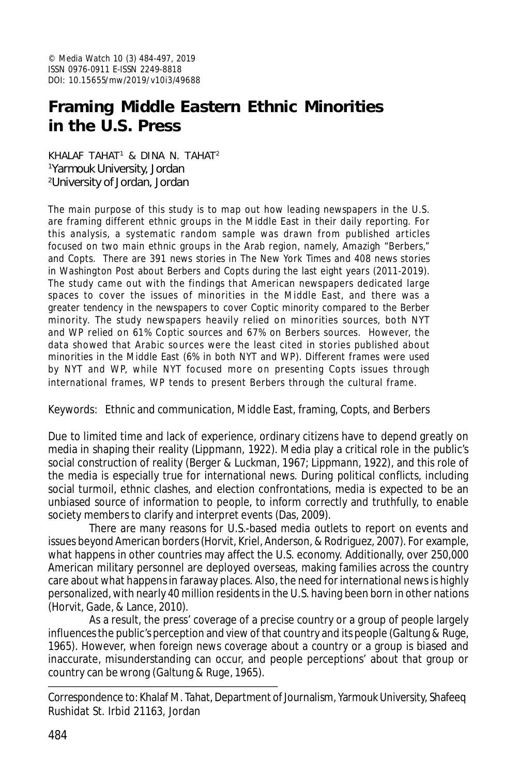# **Framing Middle Eastern Ethnic Minorities in the U.S. Press**

KHALAF TAHAT<sup>1</sup> & DINA N. TAHAT<sup>2</sup> <sup>1</sup>Yarmouk University, Jordan <sup>2</sup>University of Jordan, Jordan

The main purpose of this study is to map out how leading newspapers in the U.S. are framing different ethnic groups in the Middle East in their daily reporting. For this analysis, a systematic random sample was drawn from published articles focused on two main ethnic groups in the Arab region, namely, Amazigh "Berbers," and Copts. There are 391 news stories in *The New York Times* and 408 news stories in *Washington Post* about Berbers and Copts during the last eight years (2011-2019). The study came out with the findings that American newspapers dedicated large spaces to cover the issues of minorities in the Middle East, and there was a greater tendency in the newspapers to cover Coptic minority compared to the Berber minority. The study newspapers heavily relied on minorities sources, both NYT and WP relied on 61% Coptic sources and 67% on Berbers sources. However, the data showed that Arabic sources were the least cited in stories published about minorities in the Middle East (6% in both NYT and WP). Different frames were used by NYT and WP, while NYT focused more on presenting Copts issues through international frames, WP tends to present Berbers through the cultural frame.

Keywords: Ethnic and communication, Middle East, framing, Copts, and Berbers

Due to limited time and lack of experience, ordinary citizens have to depend greatly on media in shaping their reality (Lippmann, 1922). Media play a critical role in the public's social construction of reality (Berger & Luckman, 1967; Lippmann, 1922), and this role of the media is especially true for international news. During political conflicts, including social turmoil, ethnic clashes, and election confrontations, media is expected to be an unbiased source of information to people, to inform correctly and truthfully, to enable society members to clarify and interpret events (Das, 2009).

There are many reasons for U.S.-based media outlets to report on events and issues beyond American borders (Horvit, Kriel, Anderson, & Rodriguez, 2007). For example, what happens in other countries may affect the U.S. economy. Additionally, over 250,000 American military personnel are deployed overseas, making families across the country care about what happens in faraway places. Also, the need for international news is highly personalized, with nearly 40 million residents in the U.S. having been born in other nations (Horvit, Gade, & Lance, 2010).

As a result, the press' coverage of a precise country or a group of people largely influences the public's perception and view of that country and its people (Galtung & Ruge, 1965). However, when foreign news coverage about a country or a group is biased and inaccurate, misunderstanding can occur, and people perceptions' about that group or country can be wrong (Galtung & Ruge, 1965).

Correspondence to: Khalaf M. Tahat, Department of Journalism, Yarmouk University, Shafeeq Rushidat St. Irbid 21163, Jordan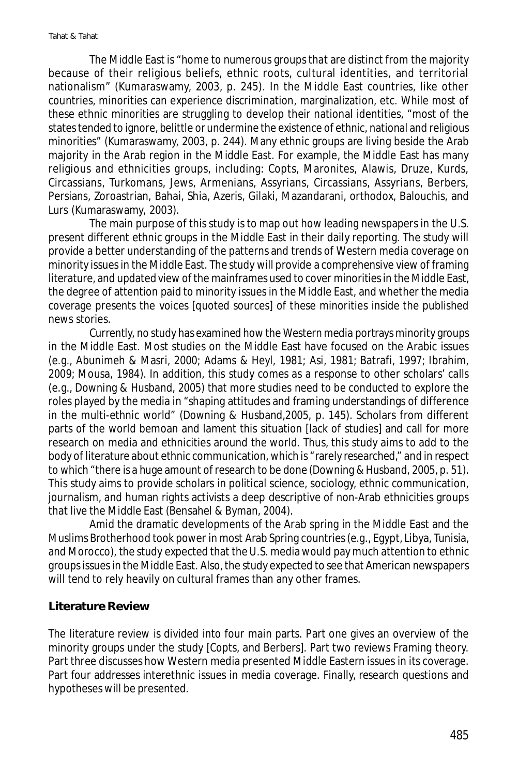The Middle East is "home to numerous groups that are distinct from the majority because of their religious beliefs, ethnic roots, cultural identities, and territorial nationalism" (Kumaraswamy, 2003, p. 245). In the Middle East countries, like other countries, minorities can experience discrimination, marginalization, etc. While most of these ethnic minorities are struggling to develop their national identities, "most of the states tended to ignore, belittle or undermine the existence of ethnic, national and religious minorities" (Kumaraswamy, 2003, p. 244). Many ethnic groups are living beside the Arab majority in the Arab region in the Middle East. For example, the Middle East has many religious and ethnicities groups, including: Copts, Maronites, Alawis, Druze, Kurds, Circassians, Turkomans, Jews, Armenians, Assyrians, Circassians, Assyrians, Berbers, Persians, Zoroastrian, Bahai, Shia, Azeris, Gilaki, Mazandarani, orthodox, Balouchis, and Lurs (Kumaraswamy, 2003).

The main purpose of this study is to map out how leading newspapers in the U.S. present different ethnic groups in the Middle East in their daily reporting. The study will provide a better understanding of the patterns and trends of Western media coverage on minority issues in the Middle East. The study will provide a comprehensive view of framing literature, and updated view of the mainframes used to cover minorities in the Middle East, the degree of attention paid to minority issues in the Middle East, and whether the media coverage presents the voices [quoted sources] of these minorities inside the published news stories.

Currently, no study has examined how the Western media portrays minority groups in the Middle East. Most studies on the Middle East have focused on the Arabic issues (e.g., Abunimeh & Masri, 2000; Adams & Heyl, 1981; Asi, 1981; Batrafi, 1997; Ibrahim, 2009; Mousa, 1984). In addition, this study comes as a response to other scholars' calls (e.g., Downing & Husband, 2005) that more studies need to be conducted to explore the roles played by the media in "shaping attitudes and framing understandings of difference in the multi-ethnic world" (Downing & Husband,2005, p. 145). Scholars from different parts of the world bemoan and lament this situation [lack of studies] and call for more research on media and ethnicities around the world. Thus, this study aims to add to the body of literature about ethnic communication, which is "rarely researched," and in respect to which "there is a huge amount of research to be done (Downing & Husband, 2005, p. 51). This study aims to provide scholars in political science, sociology, ethnic communication, journalism, and human rights activists a deep descriptive of non-Arab ethnicities groups that live the Middle East (Bensahel & Byman, 2004).

Amid the dramatic developments of the Arab spring in the Middle East and the Muslims Brotherhood took power in most Arab Spring countries (e.g., Egypt, Libya, Tunisia, and Morocco), the study expected that the U.S. media would pay much attention to ethnic groups issues in the Middle East. Also, the study expected to see that American newspapers will tend to rely heavily on cultural frames than any other frames.

#### **Literature Review**

The literature review is divided into four main parts. Part one gives an overview of the minority groups under the study [Copts, and Berbers]. Part two reviews Framing theory. Part three discusses how Western media presented Middle Eastern issues in its coverage. Part four addresses interethnic issues in media coverage. Finally, research questions and hypotheses will be presented.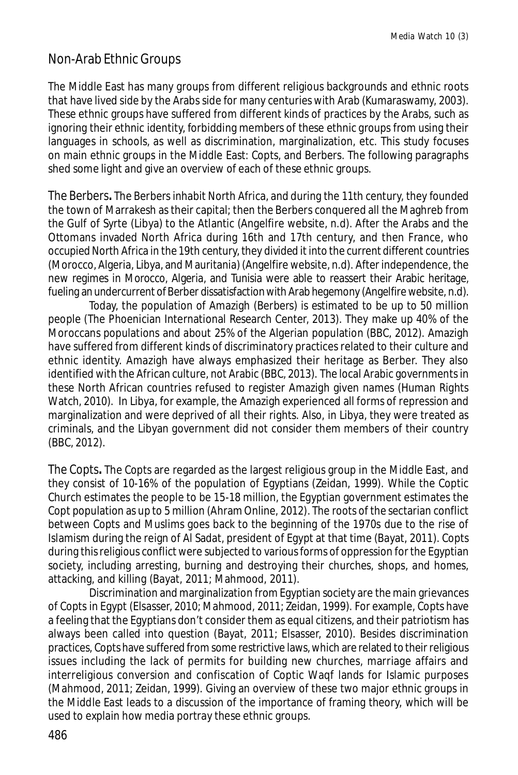### Non-Arab Ethnic Groups

The Middle East has many groups from different religious backgrounds and ethnic roots that have lived side by the Arabs side for many centuries with Arab (Kumaraswamy, 2003). These ethnic groups have suffered from different kinds of practices by the Arabs, such as ignoring their ethnic identity, forbidding members of these ethnic groups from using their languages in schools, as well as discrimination, marginalization, etc. This study focuses on main ethnic groups in the Middle East: Copts, and Berbers. The following paragraphs shed some light and give an overview of each of these ethnic groups.

*The Berbers***.** The Berbers inhabit North Africa, and during the 11th century, they founded the town of Marrakesh as their capital; then the Berbers conquered all the Maghreb from the Gulf of Syrte (Libya) to the Atlantic (Angelfire website, n.d). After the Arabs and the Ottomans invaded North Africa during 16th and 17th century, and then France, who occupied North Africa in the 19th century, they divided it into the current different countries (Morocco, Algeria, Libya, and Mauritania) (Angelfire website, n.d). After independence, the new regimes in Morocco, Algeria, and Tunisia were able to reassert their Arabic heritage, fueling an undercurrent of Berber dissatisfaction with Arab hegemony (Angelfire website, n.d).

Today, the population of Amazigh (Berbers) is estimated to be up to 50 million people (The Phoenician International Research Center, 2013). They make up 40% of the Moroccans populations and about 25% of the Algerian population (BBC, 2012). Amazigh have suffered from different kinds of discriminatory practices related to their culture and ethnic identity. Amazigh have always emphasized their heritage as Berber. They also identified with the African culture, not Arabic (BBC, 2013). The local Arabic governments in these North African countries refused to register Amazigh given names (Human Rights Watch, 2010). In Libya, for example, the Amazigh experienced all forms of repression and marginalization and were deprived of all their rights. Also, in Libya, they were treated as criminals, and the Libyan government did not consider them members of their country (BBC, 2012).

*The Copts***.** The Copts are regarded as the largest religious group in the Middle East, and they consist of 10-16% of the population of Egyptians (Zeidan, 1999). While the Coptic Church estimates the people to be 15-18 million, the Egyptian government estimates the Copt population as up to 5 million (Ahram Online, 2012). The roots of the sectarian conflict between Copts and Muslims goes back to the beginning of the 1970s due to the rise of Islamism during the reign of Al Sadat, president of Egypt at that time (Bayat, 2011). Copts during this religious conflict were subjected to various forms of oppression for the Egyptian society, including arresting, burning and destroying their churches, shops, and homes, attacking, and killing (Bayat, 2011; Mahmood, 2011).

Discrimination and marginalization from Egyptian society are the main grievances of Copts in Egypt (Elsasser, 2010; Mahmood, 2011; Zeidan, 1999). For example, Copts have a feeling that the Egyptians don't consider them as equal citizens, and their patriotism has always been called into question (Bayat, 2011; Elsasser, 2010). Besides discrimination practices, Copts have suffered from some restrictive laws, which are related to their religious issues including the lack of permits for building new churches, marriage affairs and interreligious conversion and confiscation of Coptic Waqf lands for Islamic purposes (Mahmood, 2011; Zeidan, 1999). Giving an overview of these two major ethnic groups in the Middle East leads to a discussion of the importance of framing theory, which will be used to explain how media portray these ethnic groups.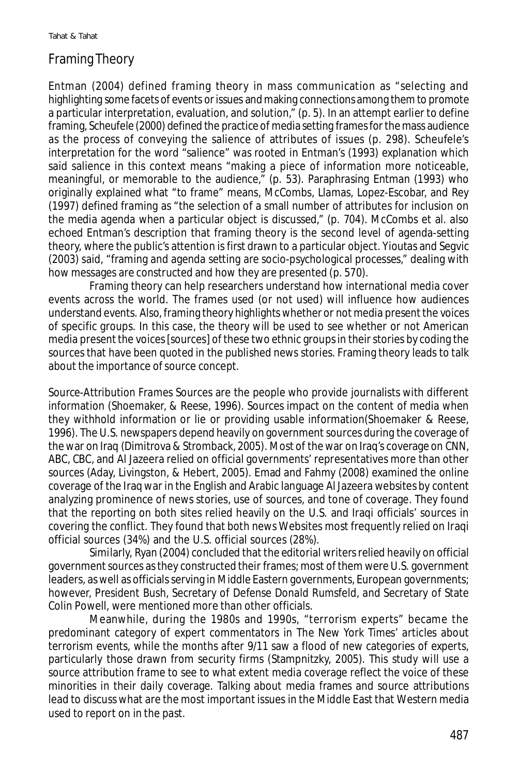## Framing Theory

Entman (2004) defined framing theory in mass communication as "selecting and highlighting some facets of events or issues and making connections among them to promote a particular interpretation, evaluation, and solution," (p. 5). In an attempt earlier to define framing, Scheufele (2000) defined the practice of media setting frames for the mass audience as the process of conveying the salience of attributes of issues (p. 298). Scheufele's interpretation for the word "salience" was rooted in Entman's (1993) explanation which said salience in this context means "making a piece of information more noticeable, meaningful, or memorable to the audience," (p. 53). Paraphrasing Entman (1993) who originally explained what "to frame" means, McCombs, Llamas, Lopez-Escobar, and Rey (1997) defined framing as "the selection of a small number of attributes for inclusion on the media agenda when a particular object is discussed," (p. 704). McCombs et al. also echoed Entman's description that framing theory is the second level of agenda-setting theory, where the public's attention is first drawn to a particular object. Yioutas and Segvic (2003) said, "framing and agenda setting are socio-psychological processes," dealing with how messages are constructed and how they are presented (p. 570).

Framing theory can help researchers understand how international media cover events across the world. The frames used (or not used) will influence how audiences understand events. Also, framing theory highlights whether or not media present the voices of specific groups. In this case, the theory will be used to see whether or not American media present the voices [sources] of these two ethnic groups in their stories by coding the sources that have been quoted in the published news stories. Framing theory leads to talk about the importance of source concept.

*Source-Attribution Frames* Sources are the people who provide journalists with different information (Shoemaker, & Reese, 1996). Sources impact on the content of media when they withhold information or lie or providing usable information(Shoemaker & Reese, 1996). The U.S. newspapers depend heavily on government sources during the coverage of the war on Iraq (Dimitrova & Stromback, 2005). Most of the war on Iraq's coverage on CNN, ABC, CBC, and Al Jazeera relied on official governments' representatives more than other sources (Aday, Livingston, & Hebert, 2005). Emad and Fahmy (2008) examined the online coverage of the Iraq war in the English and Arabic language Al Jazeera websites by content analyzing prominence of news stories, use of sources, and tone of coverage. They found that the reporting on both sites relied heavily on the U.S. and Iraqi officials' sources in covering the conflict. They found that both news Websites most frequently relied on Iraqi official sources (34%) and the U.S. official sources (28%).

Similarly, Ryan (2004) concluded that the editorial writers relied heavily on official government sources as they constructed their frames; most of them were U.S. government leaders, as well as officials serving in Middle Eastern governments, European governments; however, President Bush, Secretary of Defense Donald Rumsfeld, and Secretary of State Colin Powell, were mentioned more than other officials.

Meanwhile, during the 1980s and 1990s, "terrorism experts" became the predominant category of expert commentators in *The New York Times'* articles about terrorism events, while the months after 9/11 saw a flood of new categories of experts, particularly those drawn from security firms (Stampnitzky, 2005). This study will use a source attribution frame to see to what extent media coverage reflect the voice of these minorities in their daily coverage. Talking about media frames and source attributions lead to discuss what are the most important issues in the Middle East that Western media used to report on in the past.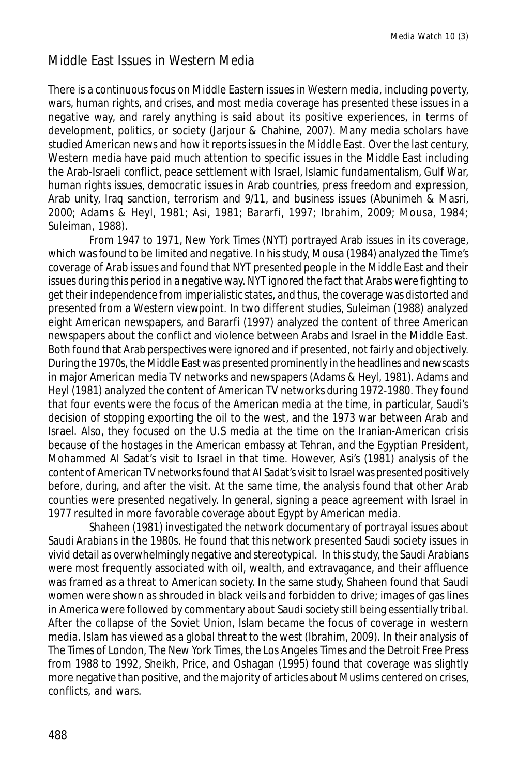## Middle East Issues in Western Media

There is a continuous focus on Middle Eastern issues in Western media, including poverty, wars, human rights, and crises, and most media coverage has presented these issues in a negative way, and rarely anything is said about its positive experiences, in terms of development, politics, or society (Jarjour & Chahine, 2007). Many media scholars have studied American news and how it reports issues in the Middle East. Over the last century, Western media have paid much attention to specific issues in the Middle East including the Arab-Israeli conflict, peace settlement with Israel, Islamic fundamentalism, Gulf War, human rights issues, democratic issues in Arab countries, press freedom and expression, Arab unity, Iraq sanction, terrorism and 9/11, and business issues (Abunimeh & Masri, 2000; Adams & Heyl, 1981; Asi, 1981; Bararfi, 1997; Ibrahim, 2009; Mousa, 1984; Suleiman, 1988).

From 1947 to 1971, *New York Times* (NYT) portrayed Arab issues in its coverage, which was found to be limited and negative. In his study, Mousa (1984) analyzed the *Time*'s coverage of Arab issues and found that NYT presented people in the Middle East and their issues during this period in a negative way. NYT ignored the fact that Arabs were fighting to get their independence from imperialistic states, and thus, the coverage was distorted and presented from a Western viewpoint. In two different studies, Suleiman (1988) analyzed eight American newspapers, and Bararfi (1997) analyzed the content of three American newspapers about the conflict and violence between Arabs and Israel in the Middle East. Both found that Arab perspectives were ignored and if presented, not fairly and objectively. During the 1970s, the Middle East was presented prominently in the headlines and newscasts in major American media TV networks and newspapers (Adams & Heyl, 1981). Adams and Heyl (1981) analyzed the content of American TV networks during 1972-1980. They found that four events were the focus of the American media at the time, in particular, Saudi's decision of stopping exporting the oil to the west, and the 1973 war between Arab and Israel. Also, they focused on the U.S media at the time on the Iranian-American crisis because of the hostages in the American embassy at Tehran, and the Egyptian President, Mohammed Al Sadat's visit to Israel in that time. However, Asi's (1981) analysis of the content of American TV networks found that Al Sadat's visit to Israel was presented positively before, during, and after the visit. At the same time, the analysis found that other Arab counties were presented negatively. In general, signing a peace agreement with Israel in 1977 resulted in more favorable coverage about Egypt by American media.

Shaheen (1981) investigated the network documentary of portrayal issues about Saudi Arabians in the 1980s. He found that this network presented Saudi society issues in vivid detail as overwhelmingly negative and stereotypical. In this study, the Saudi Arabians were most frequently associated with oil, wealth, and extravagance, and their affluence was framed as a threat to American society. In the same study, Shaheen found that Saudi women were shown as shrouded in black veils and forbidden to drive; images of gas lines in America were followed by commentary about Saudi society still being essentially tribal. After the collapse of the Soviet Union, Islam became the focus of coverage in western media. Islam has viewed as a global threat to the west (Ibrahim, 2009). In their analysis of *The Times* of London, *The New York Times*, the *Los Angeles Times* and the *Detroit Free Press* from 1988 to 1992, Sheikh, Price, and Oshagan (1995) found that coverage was slightly more negative than positive, and the majority of articles about Muslims centered on crises, conflicts, and wars.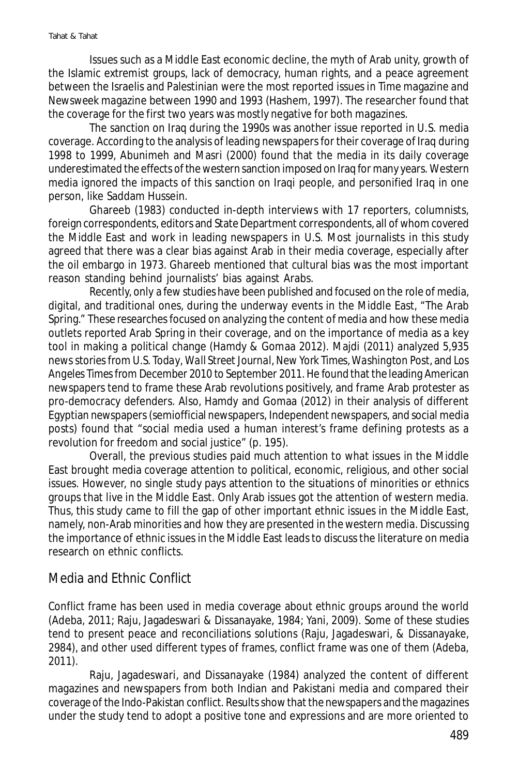Issues such as a Middle East economic decline, the myth of Arab unity, growth of the Islamic extremist groups, lack of democracy, human rights, and a peace agreement between the Israelis and Palestinian were the most reported issues in *Time* magazine and *Newsweek* magazine between 1990 and 1993 (Hashem, 1997). The researcher found that the coverage for the first two years was mostly negative for both magazines.

The sanction on Iraq during the 1990s was another issue reported in U.S. media coverage. According to the analysis of leading newspapers for their coverage of Iraq during 1998 to 1999, Abunimeh and Masri (2000) found that the media in its daily coverage underestimated the effects of the western sanction imposed on Iraq for many years. Western media ignored the impacts of this sanction on Iraqi people, and personified Iraq in one person, like Saddam Hussein.

Ghareeb (1983) conducted in-depth interviews with 17 reporters, columnists, foreign correspondents, editors and State Department correspondents, all of whom covered the Middle East and work in leading newspapers in U.S. Most journalists in this study agreed that there was a clear bias against Arab in their media coverage, especially after the oil embargo in 1973. Ghareeb mentioned that cultural bias was the most important reason standing behind journalists' bias against Arabs.

Recently, only a few studies have been published and focused on the role of media, digital, and traditional ones, during the underway events in the Middle East, "The Arab Spring." These researches focused on analyzing the content of media and how these media outlets reported Arab Spring in their coverage, and on the importance of media as a key tool in making a political change (Hamdy & Gomaa 2012). Majdi (2011) analyzed 5,935 news stories from *U.S. Today*, *Wall Street Journal*, *New York Times*, *Washington Post*, and *Los Angeles Times* from December 2010 to September 2011. He found that the leading American newspapers tend to frame these Arab revolutions positively, and frame Arab protester as pro-democracy defenders. Also, Hamdy and Gomaa (2012) in their analysis of different Egyptian newspapers (semiofficial newspapers, Independent newspapers, and social media posts) found that "social media used a human interest's frame defining protests as a revolution for freedom and social justice" (p. 195).

Overall, the previous studies paid much attention to what issues in the Middle East brought media coverage attention to political, economic, religious, and other social issues. However, no single study pays attention to the situations of minorities or ethnics groups that live in the Middle East. Only Arab issues got the attention of western media. Thus, this study came to fill the gap of other important ethnic issues in the Middle East, namely, non-Arab minorities and how they are presented in the western media. Discussing the importance of ethnic issues in the Middle East leads to discuss the literature on media research on ethnic conflicts.

#### Media and Ethnic Conflict

Conflict frame has been used in media coverage about ethnic groups around the world (Adeba, 2011; Raju, Jagadeswari & Dissanayake, 1984; Yani, 2009). Some of these studies tend to present peace and reconciliations solutions (Raju, Jagadeswari, & Dissanayake, 2984), and other used different types of frames, conflict frame was one of them (Adeba, 2011).

Raju, Jagadeswari, and Dissanayake (1984) analyzed the content of different magazines and newspapers from both Indian and Pakistani media and compared their coverage of the Indo-Pakistan conflict. Results show that the newspapers and the magazines under the study tend to adopt a positive tone and expressions and are more oriented to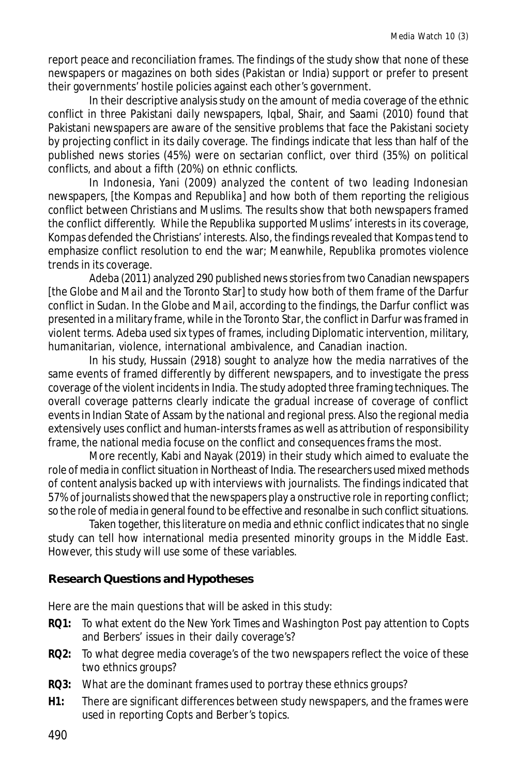report peace and reconciliation frames. The findings of the study show that none of these newspapers or magazines on both sides (Pakistan or India) support or prefer to present their governments' hostile policies against each other's government.

In their descriptive analysis study on the amount of media coverage of the ethnic conflict in three Pakistani daily newspapers, Iqbal, Shair, and Saami (2010) found that Pakistani newspapers are aware of the sensitive problems that face the Pakistani society by projecting conflict in its daily coverage. The findings indicate that less than half of the published news stories (45%) were on sectarian conflict, over third (35%) on political conflicts, and about a fifth (20%) on ethnic conflicts.

In Indonesia, Yani (2009) analyzed the content of two leading Indonesian newspapers, [*the Kompas* and *Republika*] and how both of them reporting the religious conflict between Christians and Muslims. The results show that both newspapers framed the conflict differently. While the *Republika* supported Muslims' interests in its coverage, *Kompas* defended the Christians' interests. Also, the findings revealed that *Kompas* tend to emphasize conflict resolution to end the war; Meanwhile, *Republika* promotes violence trends in its coverage.

Adeba (2011) analyzed 290 published news stories from two Canadian newspapers [*the Globe and Mail* and *the Toronto Star*] to study how both of them frame of the Darfur conflict in Sudan. In *the Globe and Mail*, according to the findings, the Darfur conflict was presented in a military frame, while in *the Toronto Star*, the conflict in Darfur was framed in violent terms. Adeba used six types of frames, including Diplomatic intervention, military, humanitarian, violence, international ambivalence, and Canadian inaction.

In his study, Hussain (2918) sought to analyze how the media narratives of the same events of framed differently by different newspapers, and to investigate the press coverage of the violent incidents in India. The study adopted three framing techniques. The overall coverage patterns clearly indicate the gradual increase of coverage of conflict events in Indian State of Assam by the national and regional press. Also the regional media extensively uses conflict and human-intersts frames as well as attribution of responsibility frame, the national media focuse on the conflict and consequences frams the most.

More recently, Kabi and Nayak (2019) in their study which aimed to evaluate the role of media in conflict situation in Northeast of India. The researchers used mixed methods of content analysis backed up with interviews with journalists. The findings indicated that 57% of journalists showed that the newspapers play a onstructive role in reporting conflict; so the role of media in general found to be effective and resonalbe in such conflict situations.

Taken together, this literature on media and ethnic conflict indicates that no single study can tell how international media presented minority groups in the Middle East. However, this study will use some of these variables.

#### **Research Questions and Hypotheses**

Here are the main questions that will be asked in this study:

- **RQ1:** To what extent do the *New York Times* and *Washington Post* pay attention to Copts and Berbers' issues in their daily coverage's?
- **RQ2:** To what degree media coverage's of the two newspapers reflect the voice of these two ethnics groups?
- **RQ3:** What are the dominant frames used to portray these ethnics groups?
- **H1:** There are significant differences between study newspapers, and the frames were used in reporting Copts and Berber's topics.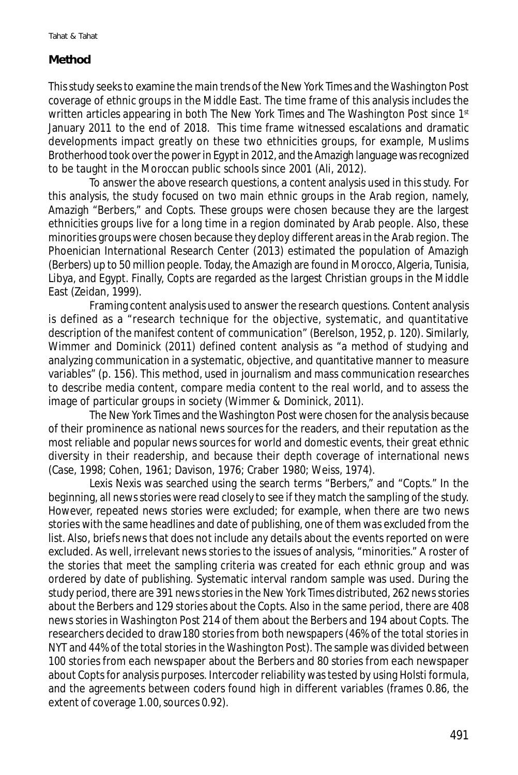#### **Method**

This study seeks to examine the main trends of the *New York Times* and *the Washington Post* coverage of ethnic groups in the Middle East. The time frame of this analysis includes the written articles appearing in both *The New York Times* and *The Washington Post* since 1st January 2011 to the end of 2018. This time frame witnessed escalations and dramatic developments impact greatly on these two ethnicities groups, for example, Muslims Brotherhood took over the power in Egypt in 2012, and the Amazigh language was recognized to be taught in the Moroccan public schools since 2001 (Ali, 2012).

To answer the above research questions, a content analysis used in this study. For this analysis, the study focused on two main ethnic groups in the Arab region, namely, Amazigh "Berbers," and Copts. These groups were chosen because they are the largest ethnicities groups live for a long time in a region dominated by Arab people. Also, these minorities groups were chosen because they deploy different areas in the Arab region. The Phoenician International Research Center (2013) estimated the population of Amazigh (Berbers) up to 50 million people. Today, the Amazigh are found in Morocco, Algeria, Tunisia, Libya, and Egypt. Finally, Copts are regarded as the largest Christian groups in the Middle East (Zeidan, 1999).

Framing content analysis used to answer the research questions. Content analysis is defined as a "research technique for the objective, systematic, and quantitative description of the manifest content of communication" (Berelson, 1952, p. 120). Similarly, Wimmer and Dominick (2011) defined content analysis as "a method of studying and analyzing communication in a systematic, objective, and quantitative manner to measure variables" (p. 156). This method, used in journalism and mass communication researches to describe media content, compare media content to the real world, and to assess the image of particular groups in society (Wimmer & Dominick, 2011).

The *New York Times* and *the Washington Post* were chosen for the analysis because of their prominence as national news sources for the readers, and their reputation as the most reliable and popular news sources for world and domestic events, their great ethnic diversity in their readership, and because their depth coverage of international news (Case, 1998; Cohen, 1961; Davison, 1976; Craber 1980; Weiss, 1974).

Lexis Nexis was searched using the search terms "Berbers," and "Copts." In the beginning, all news stories were read closely to see if they match the sampling of the study. However, repeated news stories were excluded; for example, when there are two news stories with the same headlines and date of publishing, one of them was excluded from the list. Also, briefs news that does not include any details about the events reported on were excluded. As well, irrelevant news stories to the issues of analysis, "minorities." A roster of the stories that meet the sampling criteria was created for each ethnic group and was ordered by date of publishing. Systematic interval random sample was used. During the study period, there are 391 news stories in the *New York Times* distributed, 262 news stories about the Berbers and 129 stories about the Copts. Also in the same period, there are 408 news stories in *Washington Post* 214 of them about the Berbers and 194 about Copts. The researchers decided to draw180 stories from both newspapers (46% of the total stories in NYT and 44% of the total stories in the *Washington Post*). The sample was divided between 100 stories from each newspaper about the Berbers and 80 stories from each newspaper about Copts for analysis purposes. Intercoder reliability was tested by using Holsti formula, and the agreements between coders found high in different variables (frames 0.86, the extent of coverage 1.00, sources 0.92).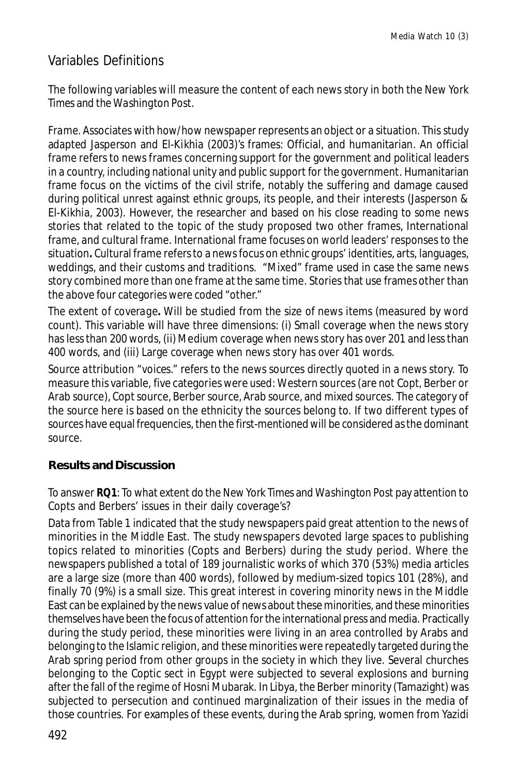## Variables Definitions

The following variables will measure the content of each news story in both the *New York Times* and the *Washington Post*.

*Frame.* Associates with how/how newspaper represents an object or a situation. This study adapted Jasperson and El-Kikhia (2003)'s frames: Official, and humanitarian. An official frame refers to news frames concerning support for the government and political leaders in a country, including national unity and public support for the government. Humanitarian frame focus on the victims of the civil strife, notably the suffering and damage caused during political unrest against ethnic groups, its people, and their interests (Jasperson & El-Kikhia, 2003). However, the researcher and based on his close reading to some news stories that related to the topic of the study proposed two other frames, International frame, and cultural frame. International frame focuses on world leaders' responses to the situation**.** Cultural frame refers to a news focus on ethnic groups' identities, arts, languages, weddings, and their customs and traditions. "Mixed" frame used in case the same news story combined more than one frame at the same time. Stories that use frames other than the above four categories were coded "other."

*The extent of coverage***.** Will be studied from the size of news items (measured by word count). This variable will have three dimensions: (i) Small coverage when the news story has less than 200 words, (ii) Medium coverage when news story has over 201 and less than 400 words, and (iii) Large coverage when news story has over 401 words.

*Source attribution "voices."* refers to the news sources directly quoted in a news story. To measure this variable, five categories were used: Western sources (are not Copt, Berber or Arab source), Copt source, Berber source, Arab source, and mixed sources. The category of the source here is based on the ethnicity the sources belong to. If two different types of sources have equal frequencies, then the first-mentioned will be considered as the dominant source.

#### **Results and Discussion**

To answer **RQ1**: To what extent do the *New York Times* and *Washington Post* pay attention to Copts and Berbers' issues in their daily coverage's?

Data from Table 1 indicated that the study newspapers paid great attention to the news of minorities in the Middle East. The study newspapers devoted large spaces to publishing topics related to minorities (Copts and Berbers) during the study period. Where the newspapers published a total of 189 journalistic works of which 370 (53%) media articles are a large size (more than 400 words), followed by medium-sized topics 101 (28%), and finally 70 (9%) is a small size. This great interest in covering minority news in the Middle East can be explained by the news value of news about these minorities, and these minorities themselves have been the focus of attention for the international press and media. Practically during the study period, these minorities were living in an area controlled by Arabs and belonging to the Islamic religion, and these minorities were repeatedly targeted during the Arab spring period from other groups in the society in which they live. Several churches belonging to the Coptic sect in Egypt were subjected to several explosions and burning after the fall of the regime of Hosni Mubarak. In Libya, the Berber minority (Tamazight) was subjected to persecution and continued marginalization of their issues in the media of those countries. For examples of these events, during the Arab spring, women from Yazidi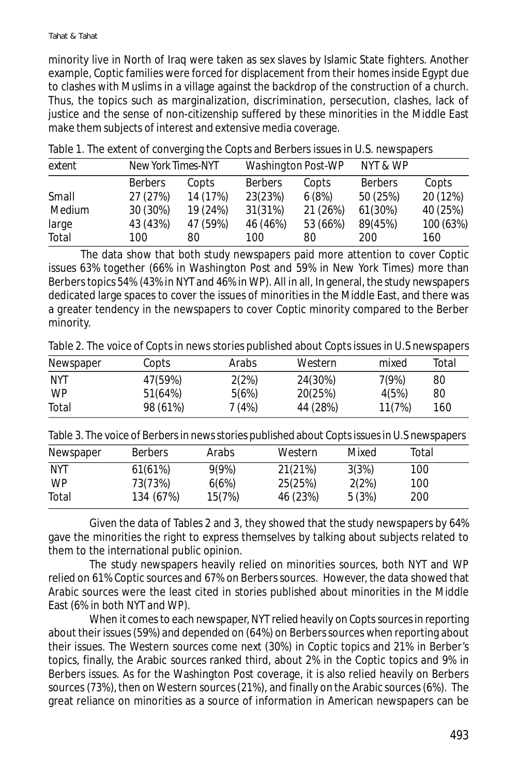minority live in North of Iraq were taken as sex slaves by Islamic State fighters. Another example, Coptic families were forced for displacement from their homes inside Egypt due to clashes with Muslims in a village against the backdrop of the construction of a church. Thus, the topics such as marginalization, discrimination, persecution, clashes, lack of justice and the sense of non-citizenship suffered by these minorities in the Middle East make them subjects of interest and extensive media coverage.

| extent |                | New York Times-NYT |                | <b>Washington Post-WP</b> |                |           |  |
|--------|----------------|--------------------|----------------|---------------------------|----------------|-----------|--|
|        | <b>Berbers</b> | Copts              | <b>Berbers</b> | Copts                     | <b>Berbers</b> | Copts     |  |
| Small  | 27 (27%)       | 14 (17%)           | 23(23%)        | 6(8%)                     | 50 (25%)       | 20 (12%)  |  |
| Medium | 30 (30%)       | 19 (24%)           | 31(31%)        | 21 (26%)                  | 61(30%)        | 40 (25%)  |  |
| large  | 43 (43%)       | 47 (59%)           | 46 (46%)       | 53 (66%)                  | 89(45%)        | 100 (63%) |  |
| Total  | 100            | 80                 | 100            | 80                        | 200            | 160       |  |

Table 1. The extent of converging the Copts and Berbers issues in U.S. newspapers

The data show that both study newspapers paid more attention to cover Coptic issues 63% together (66% in *Washington Post* and 59% in New York Times) more than Berbers topics 54% (43% in NYT and 46% in WP). All in all, In general, the study newspapers dedicated large spaces to cover the issues of minorities in the Middle East, and there was a greater tendency in the newspapers to cover Coptic minority compared to the Berber minority.

Table 2. The voice of Copts in news stories published about Copts issues in U.S newspapers

| Newspaper  | Copts    | Arabs  | Western  | mixed  | Total |
|------------|----------|--------|----------|--------|-------|
| <b>NYT</b> | 47(59%)  | 2(2%)  | 24(30%)  | 7(9%)  | 80    |
| <b>WP</b>  | 51(64%)  | 5(6%)  | 20(25%)  | 4(5%)  | 80    |
| Total      | 98 (61%) | 7 (4%) | 44 (28%) | 11(7%) | 160   |

Table 3. The voice of Berbers in news stories published about Copts issues in U.S newspapers

| Newspaper  | <b>Berbers</b> | Arabs  | Western  | Mixed | Total |  |
|------------|----------------|--------|----------|-------|-------|--|
| <b>NYT</b> | 61(61%)        | 9(9%)  | 21(21%)  | 3(3%) | 100   |  |
| WP         | 73(73%)        | 6(6%)  | 25(25%)  | 2(2%) | 100   |  |
| Total      | 134 (67%)      | 15(7%) | 46 (23%) | 5(3%) | 200   |  |

Given the data of Tables 2 and 3, they showed that the study newspapers by 64% gave the minorities the right to express themselves by talking about subjects related to them to the international public opinion.

The study newspapers heavily relied on minorities sources, both NYT and WP relied on 61% Coptic sources and 67% on Berbers sources. However, the data showed that Arabic sources were the least cited in stories published about minorities in the Middle East (6% in both NYT and WP).

When it comes to each newspaper, NYT relied heavily on Copts sources in reporting about their issues (59%) and depended on (64%) on Berbers sources when reporting about their issues. The Western sources come next (30%) in Coptic topics and 21% in Berber's topics, finally, the Arabic sources ranked third, about 2% in the Coptic topics and 9% in Berbers issues. As for the Washington Post coverage, it is also relied heavily on Berbers sources (73%), then on Western sources (21%), and finally on the Arabic sources (6%). The great reliance on minorities as a source of information in American newspapers can be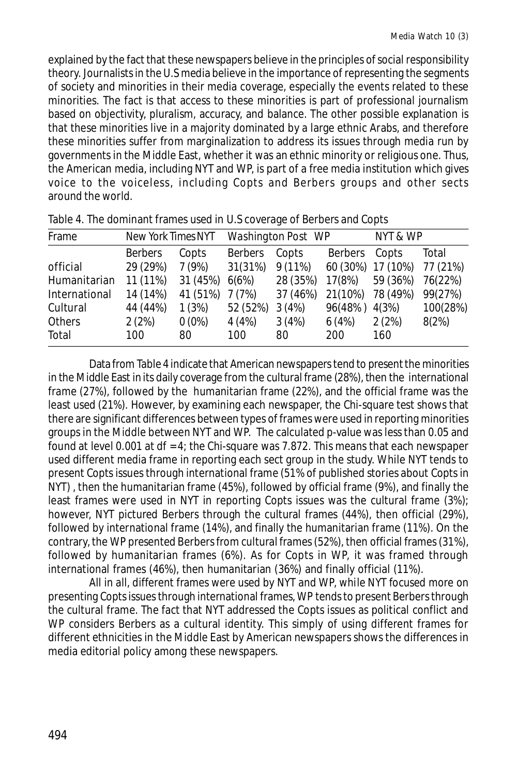explained by the fact that these newspapers believe in the principles of social responsibility theory. Journalists in the U.S media believe in the importance of representing the segments of society and minorities in their media coverage, especially the events related to these minorities. The fact is that access to these minorities is part of professional journalism based on objectivity, pluralism, accuracy, and balance. The other possible explanation is that these minorities live in a majority dominated by a large ethnic Arabs, and therefore these minorities suffer from marginalization to address its issues through media run by governments in the Middle East, whether it was an ethnic minority or religious one. Thus, the American media, including NYT and WP, is part of a free media institution which gives voice to the voiceless, including Copts and Berbers groups and other sects around the world.

| Frame         | New York TimesNYT |          | Washington Post WP |           |          | NYT & WP |          |
|---------------|-------------------|----------|--------------------|-----------|----------|----------|----------|
|               | <b>Berbers</b>    | Copts    | <b>Berbers</b>     | Copts     | Berbers  | Copts    | Total    |
| official      | 29 (29%)          | 7(9%)    | 31(31%)            | $9(11\%)$ | 60 (30%) | 17 (10%) | 77 (21%) |
| Humanitarian  | 11 (11%)          | 31 (45%) | 6(6%)              | 28 (35%)  | 17(8%)   | 59 (36%) | 76(22%)  |
| International | 14 (14%)          | 41 (51%) | 7 (7%)             | 37 (46%)  | 21(10%)  | 78 (49%) | 99(27%)  |
| Cultural      | 44 (44%)          | 1(3%)    | 52 (52%)           | 3(4%)     | 96(48%)  | 4(3%)    | 100(28%) |
| Others        | 2(2%)             | $0(0\%)$ | 4(4%)              | 3(4%)     | 6(4%)    | 2(2%)    | 8(2%)    |
| Total         | 100               | 80       | 100                | 80        | 200      | 160      |          |

|  | Table 4. The dominant frames used in U.S coverage of Berbers and Copts |  |  |
|--|------------------------------------------------------------------------|--|--|
|  |                                                                        |  |  |

Data from Table 4 indicate that American newspapers tend to present the minorities in the Middle East in its daily coverage from the cultural frame (28%), then the international frame (27%), followed by the humanitarian frame (22%), and the official frame was the least used (21%). However, by examining each newspaper, the Chi-square test shows that there are significant differences between types of frames were used in reporting minorities groups in the Middle between NYT and WP. The calculated *p*-value was less than 0.05 and found at level 0.001 at  $df = 4$ ; the Chi-square was 7.872. This means that each newspaper used different media frame in reporting each sect group in the study. While NYT tends to present Copts issues through international frame (51% of published stories about Copts in NYT) , then the humanitarian frame (45%), followed by official frame (9%), and finally the least frames were used in NYT in reporting Copts issues was the cultural frame (3%); however, NYT pictured Berbers through the cultural frames (44%), then official (29%), followed by international frame (14%), and finally the humanitarian frame (11%). On the contrary, the WP presented Berbers from cultural frames (52%), then official frames (31%), followed by humanitarian frames (6%). As for Copts in WP, it was framed through international frames (46%), then humanitarian (36%) and finally official (11%).

All in all, different frames were used by NYT and WP, while NYT focused more on presenting Copts issues through international frames, WP tends to present Berbers through the cultural frame. The fact that NYT addressed the Copts issues as political conflict and WP considers Berbers as a cultural identity. This simply of using different frames for different ethnicities in the Middle East by American newspapers shows the differences in media editorial policy among these newspapers.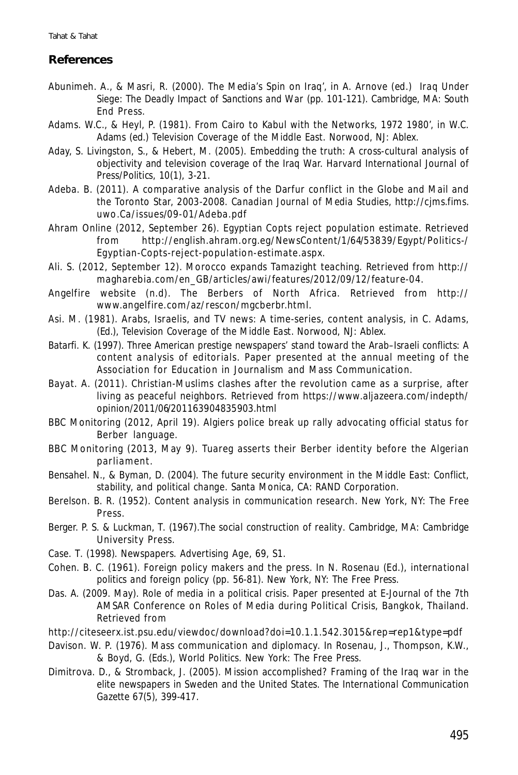#### **References**

- Abunimeh. A., & Masri, R. (2000). The Media's Spin on Iraq', in A. Arnove (ed.) *Iraq Under Siege: The Deadly Impact of Sanctions and War* (pp. 101-121). Cambridge, MA: South End Press.
- Adams. W.C., & Heyl, P. (1981). From Cairo to Kabul with the Networks, 1972 1980', in W.C. Adams (ed.) *Television Coverage of the Middle East*. Norwood, NJ: Ablex.
- Aday, S. Livingston, S., & Hebert, M. (2005). Embedding the truth: A cross-cultural analysis of objectivity and television coverage of the Iraq War. *Harvard International Journal of Press/Politics, 10*(1), 3-21.
- Adeba. B. (2011). A comparative analysis of the Darfur conflict in the Globe and Mail and the Toronto Star, 2003-2008. *Canadian Journal of Media Studies*, http://cjms.fims. uwo.Ca/issues/09-01/Adeba.pdf
- Ahram Online (2012, September 26). Egyptian Copts reject population estimate. Retrieved from http://english.ahram.org.eg/NewsContent/1/64/53839/Egypt/Politics-/ Egyptian-Copts-reject-population-estimate.aspx.
- Ali. S. (2012, September 12). Morocco expands Tamazight teaching. Retrieved from http:// magharebia.com/en\_GB/articles/awi/features/2012/09/12/feature-04.
- Angelfire website (n.d). The Berbers of North Africa. Retrieved from http:// www.angelfire.com/az/rescon/mgcberbr.html.
- Asi. M. (1981). Arabs, Israelis, and TV news: A time-series, content analysis, in C. Adams, (Ed.), *Television Coverage of the Middle East*. Norwood, NJ: Ablex.
- Batarfi. K. (1997). *Three American prestige newspapers' stand toward the Arab–Israeli conflicts: A content analysis of editorials*. Paper presented at the annual meeting of the Association for Education in Journalism and Mass Communication.
- Bayat. A. (2011). Christian-Muslims clashes after the revolution came as a surprise, after living as peaceful neighbors. Retrieved from https://www.aljazeera.com/indepth/ opinion/2011/06/201163904835903.html
- BBC Monitoring (2012, April 19). Algiers police break up rally advocating official status for Berber language.
- BBC Monitoring (2013, May 9). Tuareg asserts their Berber identity before the Algerian parlia ment.
- Bensahel. N., & Byman, D. (2004). *The future security environment in the Middle East: Conflict, stability, and political change.* Santa Monica, CA: RAND Corporation.
- Berelson. B. R. (1952). *Content analysis in communication research*. New York, NY: The Free Press.
- Berger. P. S. & Luckman, T. (1967).*The social construction of reality*. Cambridge, MA: Cambridge University Press.
- Case. T. (1998). Newspapers. *Advertising Age*, 69, S1.
- Cohen. B. C. (1961). Foreign policy makers and the press. In N. Rosenau (Ed.), *international politics and foreign policy* (pp. 56-81). New York, NY: The Free Press.
- Das. A. (2009. May). *Role of media in a political crisis*. Paper presented at E-Journal of the 7th AMSAR Conference on Roles of Media during Political Crisis, Bangkok, Thailand. Retrieved from
- http://citeseerx.ist.psu.edu/viewdoc/download?doi=10.1.1.542.3015&rep=rep1&type=pdf
- Davison. W. P. (1976). Mass communication and diplomacy. In Rosenau, J., Thompson, K.W., & Boyd, G. (Eds.), *World Politics*. New York: The Free Press.
- Dimitrova. D., & Stromback, J. (2005). Mission accomplished? Framing of the Iraq war in the elite newspapers in Sweden and the United States. *The International Communication Gazette 67*(5), 399-417.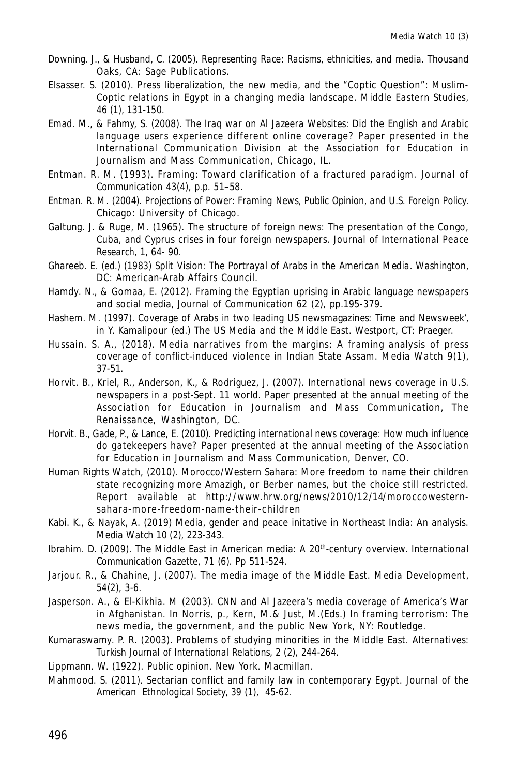- Downing. J., & Husband, C. (2005). *Representing Race: Racisms, ethnicities, and media.* Thousand Oaks, CA: Sage Publications.
- Elsasser. S. (2010). Press liberalization, the new media, and the "Coptic Question": Muslim-Coptic relations in Egypt in a changing media landscape. *Middle Eastern Studies, 46* (1), 131-150.
- Emad. M., & Fahmy, S. (2008). *The Iraq war on Al Jazeera Websites: Did the English and Arabic language users experience different online coverage?* Paper presented in the International Communication Division at the Association for Education in Journalism and Mass Communication, Chicago, IL.
- Entman. R. M. (1993). Framing: Toward clarification of a fractured paradigm. *Journal of Communication 43*(4), p.p. 51–58.
- Entman. R. M. (2004). *Projections of Power: Framing News, Public Opinion, and U.S. Foreign Policy.* Chicago: University of Chicago.
- Galtung. J. & Ruge, M. (1965). The structure of foreign news: The presentation of the Congo, Cuba, and Cyprus crises in four foreign newspapers. *Journal of International Peace Research, 1*, 64- 90.
- Ghareeb. E. (ed.) (1983) *Split Vision: The Portrayal of Arabs in the American Media*. Washington, DC: American-Arab Affairs Council.
- Hamdy. N., & Gomaa, E. (2012). Framing the Egyptian uprising in Arabic language newspapers and social media, *Journal of Communication 62* (2), pp.195-379.
- Hashem. M. (1997). Coverage of Arabs in two leading US newsmagazines: *Time* and *Newsweek*', in Y. Kamalipour (ed.) *The US Media and the Middle East*. Westport, CT: Praeger.
- Hussain. S. A., (2018). Media narratives from the margins: A framing analysis of press coverage of conflict-induced violence in Indian State Assam. *Media Watch 9*(1), 37-51.
- Horvit. B., Kriel, R., Anderson, K., & Rodriguez, J. (2007). *International news coverage in U.S. newspapers in a post-Sept. 11 world.* Paper presented at the annual meeting of the Association for Education in Journalism and Mass Communication, The Renaissance, Washington, DC.
- Horvit. B., Gade, P., & Lance, E. (2010). *Predicting international news coverage: How much influence do gatekeepers have?* Paper presented at the annual meeting of the Association for Education in Journalism and Mass Communication, Denver, CO.
- Human Rights Watch, (2010). Morocco/Western Sahara: More freedom to name their children state recognizing more Amazigh, or Berber names, but the choice still restricted. Report available at http://www.hrw.org/news/2010/12/14/moroccowesternsahara-more-freedom-name-their-children
- Kabi. K., & Nayak, A. (2019) Media, gender and peace initative in Northeast India: An analysis. *Media Watch 10* (2), 223-343.
- Ibrahim. D. (2009). The Middle East in American media: A 20th-century overview. *International Communication Gazette, 71* (6). Pp 511-524.
- Jarjour. R., & Chahine, J. (2007). The media image of the Middle East. *Media Development*, *54*(2), 3-6.
- Jasperson. A., & El-Kikhia. M (2003). CNN and Al Jazeera's media coverage of America's War in Afghanistan. In Norris, p., Kern, M.& Just, M.(Eds.) In framing terrorism: The news media, the government, and the public New York, NY: Routledge.
- Kumaraswamy. P. R. (2003). Problems of studying minorities in the Middle East. *Alternatives: Turkish Journal of International Relations, 2* (2), 244-264.
- Lippmann. W. (1922). *Public opinion*. New York. Macmillan.
- Mahmood. S. (2011). Sectarian conflict and family law in contemporary Egypt. *Journal of the American Ethnological Society, 39* (1), 45-62.